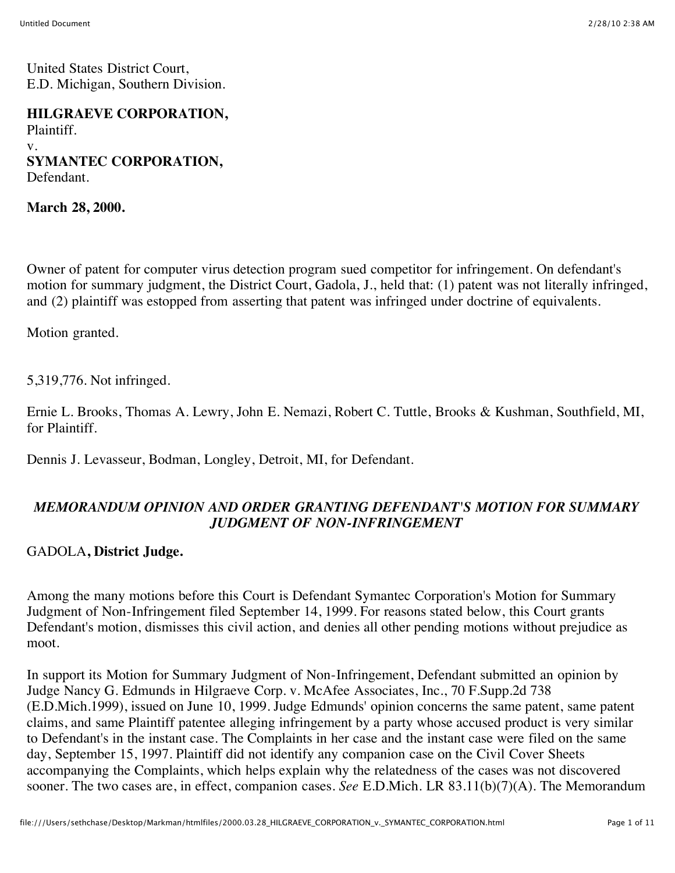United States District Court, E.D. Michigan, Southern Division.

**HILGRAEVE CORPORATION,** Plaintiff. v. **SYMANTEC CORPORATION,** Defendant.

**March 28, 2000.**

Owner of patent for computer virus detection program sued competitor for infringement. On defendant's motion for summary judgment, the District Court, Gadola, J., held that: (1) patent was not literally infringed, and (2) plaintiff was estopped from asserting that patent was infringed under doctrine of equivalents.

Motion granted.

5,319,776. Not infringed.

Ernie L. Brooks, Thomas A. Lewry, John E. Nemazi, Robert C. Tuttle, Brooks & Kushman, Southfield, MI, for Plaintiff.

Dennis J. Levasseur, Bodman, Longley, Detroit, MI, for Defendant.

## *MEMORANDUM OPINION AND ORDER GRANTING DEFENDANT'S MOTION FOR SUMMARY JUDGMENT OF NON-INFRINGEMENT*

### GADOLA**, District Judge.**

Among the many motions before this Court is Defendant Symantec Corporation's Motion for Summary Judgment of Non-Infringement filed September 14, 1999. For reasons stated below, this Court grants Defendant's motion, dismisses this civil action, and denies all other pending motions without prejudice as moot.

In support its Motion for Summary Judgment of Non-Infringement, Defendant submitted an opinion by Judge Nancy G. Edmunds in Hilgraeve Corp. v. McAfee Associates, Inc., 70 F.Supp.2d 738 (E.D.Mich.1999), issued on June 10, 1999. Judge Edmunds' opinion concerns the same patent, same patent claims, and same Plaintiff patentee alleging infringement by a party whose accused product is very similar to Defendant's in the instant case. The Complaints in her case and the instant case were filed on the same day, September 15, 1997. Plaintiff did not identify any companion case on the Civil Cover Sheets accompanying the Complaints, which helps explain why the relatedness of the cases was not discovered sooner. The two cases are, in effect, companion cases. *See* E.D.Mich. LR 83.11(b)(7)(A). The Memorandum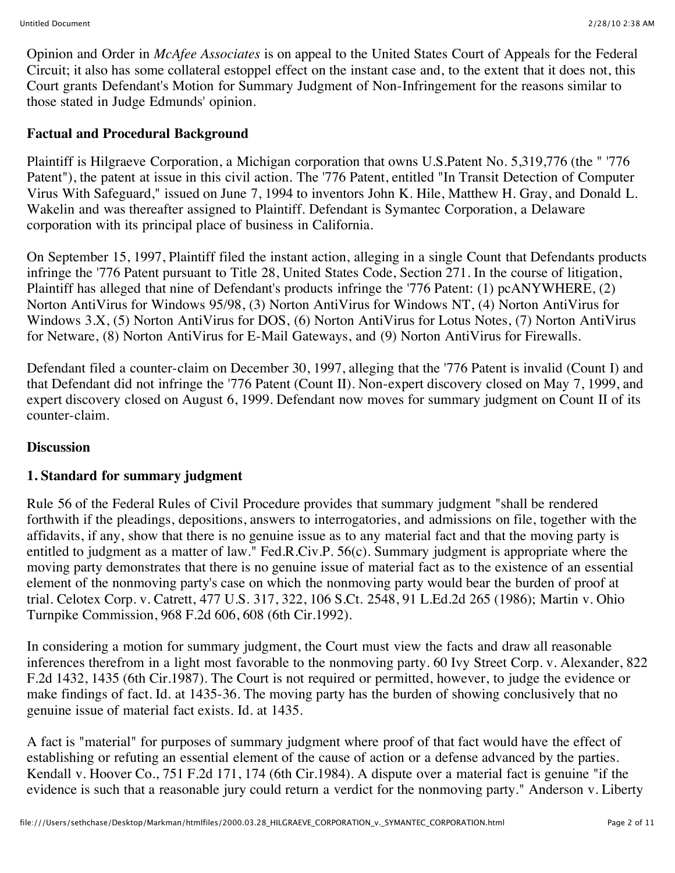Opinion and Order in *McAfee Associates* is on appeal to the United States Court of Appeals for the Federal Circuit; it also has some collateral estoppel effect on the instant case and, to the extent that it does not, this Court grants Defendant's Motion for Summary Judgment of Non-Infringement for the reasons similar to those stated in Judge Edmunds' opinion.

## **Factual and Procedural Background**

Plaintiff is Hilgraeve Corporation, a Michigan corporation that owns U.S.Patent No. 5,319,776 (the " '776 Patent"), the patent at issue in this civil action. The '776 Patent, entitled "In Transit Detection of Computer Virus With Safeguard," issued on June 7, 1994 to inventors John K. Hile, Matthew H. Gray, and Donald L. Wakelin and was thereafter assigned to Plaintiff. Defendant is Symantec Corporation, a Delaware corporation with its principal place of business in California.

On September 15, 1997, Plaintiff filed the instant action, alleging in a single Count that Defendants products infringe the '776 Patent pursuant to Title 28, United States Code, Section 271. In the course of litigation, Plaintiff has alleged that nine of Defendant's products infringe the '776 Patent: (1) pcANYWHERE, (2) Norton AntiVirus for Windows 95/98, (3) Norton AntiVirus for Windows NT, (4) Norton AntiVirus for Windows 3.X, (5) Norton AntiVirus for DOS, (6) Norton AntiVirus for Lotus Notes, (7) Norton AntiVirus for Netware, (8) Norton AntiVirus for E-Mail Gateways, and (9) Norton AntiVirus for Firewalls.

Defendant filed a counter-claim on December 30, 1997, alleging that the '776 Patent is invalid (Count I) and that Defendant did not infringe the '776 Patent (Count II). Non-expert discovery closed on May 7, 1999, and expert discovery closed on August 6, 1999. Defendant now moves for summary judgment on Count II of its counter-claim.

## **Discussion**

## **1. Standard for summary judgment**

Rule 56 of the Federal Rules of Civil Procedure provides that summary judgment "shall be rendered forthwith if the pleadings, depositions, answers to interrogatories, and admissions on file, together with the affidavits, if any, show that there is no genuine issue as to any material fact and that the moving party is entitled to judgment as a matter of law." Fed.R.Civ.P. 56(c). Summary judgment is appropriate where the moving party demonstrates that there is no genuine issue of material fact as to the existence of an essential element of the nonmoving party's case on which the nonmoving party would bear the burden of proof at trial. Celotex Corp. v. Catrett, 477 U.S. 317, 322, 106 S.Ct. 2548, 91 L.Ed.2d 265 (1986); Martin v. Ohio Turnpike Commission, 968 F.2d 606, 608 (6th Cir.1992).

In considering a motion for summary judgment, the Court must view the facts and draw all reasonable inferences therefrom in a light most favorable to the nonmoving party. 60 Ivy Street Corp. v. Alexander, 822 F.2d 1432, 1435 (6th Cir.1987). The Court is not required or permitted, however, to judge the evidence or make findings of fact. Id. at 1435-36. The moving party has the burden of showing conclusively that no genuine issue of material fact exists. Id. at 1435.

A fact is "material" for purposes of summary judgment where proof of that fact would have the effect of establishing or refuting an essential element of the cause of action or a defense advanced by the parties. Kendall v. Hoover Co., 751 F.2d 171, 174 (6th Cir.1984). A dispute over a material fact is genuine "if the evidence is such that a reasonable jury could return a verdict for the nonmoving party." Anderson v. Liberty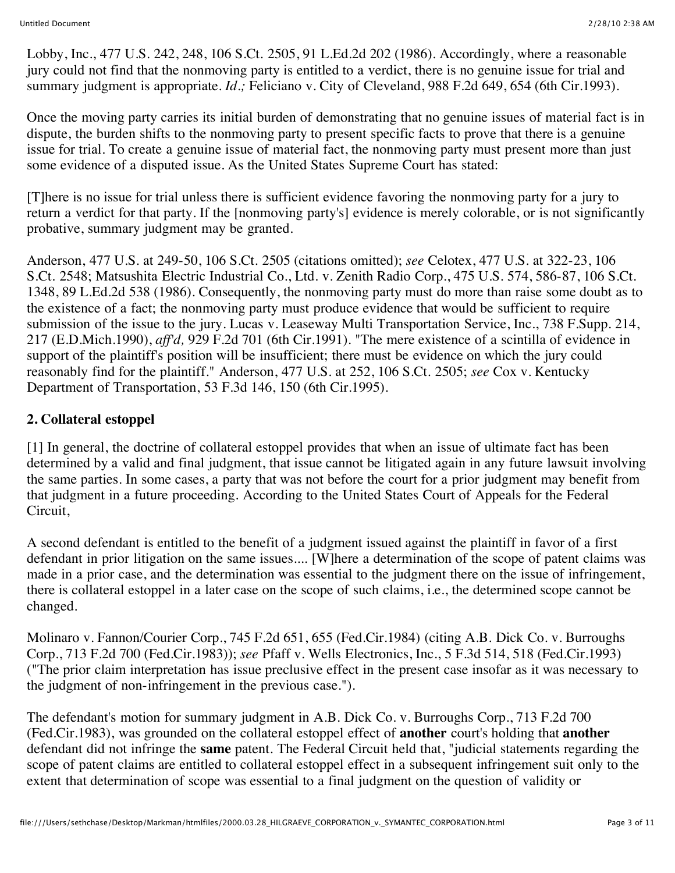Lobby, Inc., 477 U.S. 242, 248, 106 S.Ct. 2505, 91 L.Ed.2d 202 (1986). Accordingly, where a reasonable jury could not find that the nonmoving party is entitled to a verdict, there is no genuine issue for trial and summary judgment is appropriate. *Id.*; Feliciano v. City of Cleveland, 988 F.2d 649, 654 (6th Cir.1993).

Once the moving party carries its initial burden of demonstrating that no genuine issues of material fact is in dispute, the burden shifts to the nonmoving party to present specific facts to prove that there is a genuine issue for trial. To create a genuine issue of material fact, the nonmoving party must present more than just some evidence of a disputed issue. As the United States Supreme Court has stated:

[T]here is no issue for trial unless there is sufficient evidence favoring the nonmoving party for a jury to return a verdict for that party. If the [nonmoving party's] evidence is merely colorable, or is not significantly probative, summary judgment may be granted.

Anderson, 477 U.S. at 249-50, 106 S.Ct. 2505 (citations omitted); *see* Celotex, 477 U.S. at 322-23, 106 S.Ct. 2548; Matsushita Electric Industrial Co., Ltd. v. Zenith Radio Corp., 475 U.S. 574, 586-87, 106 S.Ct. 1348, 89 L.Ed.2d 538 (1986). Consequently, the nonmoving party must do more than raise some doubt as to the existence of a fact; the nonmoving party must produce evidence that would be sufficient to require submission of the issue to the jury. Lucas v. Leaseway Multi Transportation Service, Inc., 738 F.Supp. 214, 217 (E.D.Mich.1990), *aff'd,* 929 F.2d 701 (6th Cir.1991). "The mere existence of a scintilla of evidence in support of the plaintiff's position will be insufficient; there must be evidence on which the jury could reasonably find for the plaintiff." Anderson, 477 U.S. at 252, 106 S.Ct. 2505; *see* Cox v. Kentucky Department of Transportation, 53 F.3d 146, 150 (6th Cir.1995).

### **2. Collateral estoppel**

[1] In general, the doctrine of collateral estoppel provides that when an issue of ultimate fact has been determined by a valid and final judgment, that issue cannot be litigated again in any future lawsuit involving the same parties. In some cases, a party that was not before the court for a prior judgment may benefit from that judgment in a future proceeding. According to the United States Court of Appeals for the Federal Circuit,

A second defendant is entitled to the benefit of a judgment issued against the plaintiff in favor of a first defendant in prior litigation on the same issues.... [W]here a determination of the scope of patent claims was made in a prior case, and the determination was essential to the judgment there on the issue of infringement, there is collateral estoppel in a later case on the scope of such claims, i.e., the determined scope cannot be changed.

Molinaro v. Fannon/Courier Corp., 745 F.2d 651, 655 (Fed.Cir.1984) (citing A.B. Dick Co. v. Burroughs Corp., 713 F.2d 700 (Fed.Cir.1983)); *see* Pfaff v. Wells Electronics, Inc., 5 F.3d 514, 518 (Fed.Cir.1993) ("The prior claim interpretation has issue preclusive effect in the present case insofar as it was necessary to the judgment of non-infringement in the previous case.").

The defendant's motion for summary judgment in A.B. Dick Co. v. Burroughs Corp., 713 F.2d 700 (Fed.Cir.1983), was grounded on the collateral estoppel effect of **another** court's holding that **another** defendant did not infringe the **same** patent. The Federal Circuit held that, "judicial statements regarding the scope of patent claims are entitled to collateral estoppel effect in a subsequent infringement suit only to the extent that determination of scope was essential to a final judgment on the question of validity or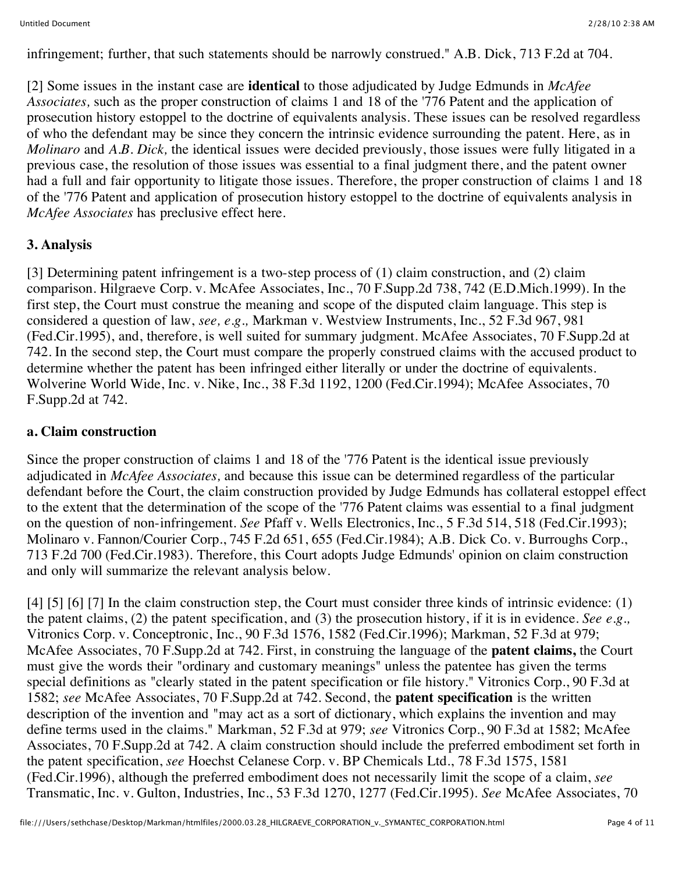infringement; further, that such statements should be narrowly construed." A.B. Dick, 713 F.2d at 704.

[2] Some issues in the instant case are **identical** to those adjudicated by Judge Edmunds in *McAfee Associates,* such as the proper construction of claims 1 and 18 of the '776 Patent and the application of prosecution history estoppel to the doctrine of equivalents analysis. These issues can be resolved regardless of who the defendant may be since they concern the intrinsic evidence surrounding the patent. Here, as in *Molinaro* and *A.B. Dick,* the identical issues were decided previously, those issues were fully litigated in a previous case, the resolution of those issues was essential to a final judgment there, and the patent owner had a full and fair opportunity to litigate those issues. Therefore, the proper construction of claims 1 and 18 of the '776 Patent and application of prosecution history estoppel to the doctrine of equivalents analysis in *McAfee Associates* has preclusive effect here.

## **3. Analysis**

[3] Determining patent infringement is a two-step process of (1) claim construction, and (2) claim comparison. Hilgraeve Corp. v. McAfee Associates, Inc., 70 F.Supp.2d 738, 742 (E.D.Mich.1999). In the first step, the Court must construe the meaning and scope of the disputed claim language. This step is considered a question of law, *see, e.g.,* Markman v. Westview Instruments, Inc., 52 F.3d 967, 981 (Fed.Cir.1995), and, therefore, is well suited for summary judgment. McAfee Associates, 70 F.Supp.2d at 742. In the second step, the Court must compare the properly construed claims with the accused product to determine whether the patent has been infringed either literally or under the doctrine of equivalents. Wolverine World Wide, Inc. v. Nike, Inc., 38 F.3d 1192, 1200 (Fed.Cir.1994); McAfee Associates, 70 F.Supp.2d at 742.

#### **a. Claim construction**

Since the proper construction of claims 1 and 18 of the '776 Patent is the identical issue previously adjudicated in *McAfee Associates,* and because this issue can be determined regardless of the particular defendant before the Court, the claim construction provided by Judge Edmunds has collateral estoppel effect to the extent that the determination of the scope of the '776 Patent claims was essential to a final judgment on the question of non-infringement. *See* Pfaff v. Wells Electronics, Inc., 5 F.3d 514, 518 (Fed.Cir.1993); Molinaro v. Fannon/Courier Corp., 745 F.2d 651, 655 (Fed.Cir.1984); A.B. Dick Co. v. Burroughs Corp., 713 F.2d 700 (Fed.Cir.1983). Therefore, this Court adopts Judge Edmunds' opinion on claim construction and only will summarize the relevant analysis below.

[4] [5] [6] [7] In the claim construction step, the Court must consider three kinds of intrinsic evidence: (1) the patent claims, (2) the patent specification, and (3) the prosecution history, if it is in evidence. *See e.g.,* Vitronics Corp. v. Conceptronic, Inc., 90 F.3d 1576, 1582 (Fed.Cir.1996); Markman, 52 F.3d at 979; McAfee Associates, 70 F.Supp.2d at 742. First, in construing the language of the **patent claims,** the Court must give the words their "ordinary and customary meanings" unless the patentee has given the terms special definitions as "clearly stated in the patent specification or file history." Vitronics Corp., 90 F.3d at 1582; *see* McAfee Associates, 70 F.Supp.2d at 742. Second, the **patent specification** is the written description of the invention and "may act as a sort of dictionary, which explains the invention and may define terms used in the claims." Markman, 52 F.3d at 979; *see* Vitronics Corp., 90 F.3d at 1582; McAfee Associates, 70 F.Supp.2d at 742. A claim construction should include the preferred embodiment set forth in the patent specification, *see* Hoechst Celanese Corp. v. BP Chemicals Ltd., 78 F.3d 1575, 1581 (Fed.Cir.1996), although the preferred embodiment does not necessarily limit the scope of a claim, *see* Transmatic, Inc. v. Gulton, Industries, Inc., 53 F.3d 1270, 1277 (Fed.Cir.1995). *See* McAfee Associates, 70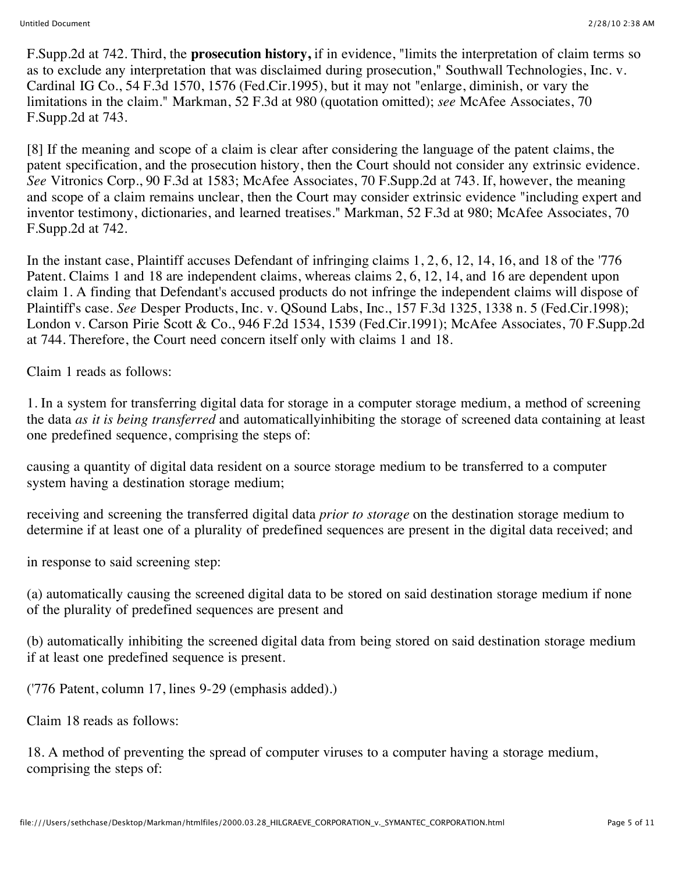F.Supp.2d at 742. Third, the **prosecution history,** if in evidence, "limits the interpretation of claim terms so as to exclude any interpretation that was disclaimed during prosecution," Southwall Technologies, Inc. v. Cardinal IG Co., 54 F.3d 1570, 1576 (Fed.Cir.1995), but it may not "enlarge, diminish, or vary the limitations in the claim." Markman, 52 F.3d at 980 (quotation omitted); *see* McAfee Associates, 70 F.Supp.2d at 743.

[8] If the meaning and scope of a claim is clear after considering the language of the patent claims, the patent specification, and the prosecution history, then the Court should not consider any extrinsic evidence. *See* Vitronics Corp., 90 F.3d at 1583; McAfee Associates, 70 F.Supp.2d at 743. If, however, the meaning and scope of a claim remains unclear, then the Court may consider extrinsic evidence "including expert and inventor testimony, dictionaries, and learned treatises." Markman, 52 F.3d at 980; McAfee Associates, 70 F.Supp.2d at 742.

In the instant case, Plaintiff accuses Defendant of infringing claims 1, 2, 6, 12, 14, 16, and 18 of the '776 Patent. Claims 1 and 18 are independent claims, whereas claims 2, 6, 12, 14, and 16 are dependent upon claim 1. A finding that Defendant's accused products do not infringe the independent claims will dispose of Plaintiff's case. *See* Desper Products, Inc. v. QSound Labs, Inc., 157 F.3d 1325, 1338 n. 5 (Fed.Cir.1998); London v. Carson Pirie Scott & Co., 946 F.2d 1534, 1539 (Fed.Cir.1991); McAfee Associates, 70 F.Supp.2d at 744. Therefore, the Court need concern itself only with claims 1 and 18.

Claim 1 reads as follows:

1. In a system for transferring digital data for storage in a computer storage medium, a method of screening the data *as it is being transferred* and automaticallyinhibiting the storage of screened data containing at least one predefined sequence, comprising the steps of:

causing a quantity of digital data resident on a source storage medium to be transferred to a computer system having a destination storage medium;

receiving and screening the transferred digital data *prior to storage* on the destination storage medium to determine if at least one of a plurality of predefined sequences are present in the digital data received; and

in response to said screening step:

(a) automatically causing the screened digital data to be stored on said destination storage medium if none of the plurality of predefined sequences are present and

(b) automatically inhibiting the screened digital data from being stored on said destination storage medium if at least one predefined sequence is present.

('776 Patent, column 17, lines 9-29 (emphasis added).)

Claim 18 reads as follows:

18. A method of preventing the spread of computer viruses to a computer having a storage medium, comprising the steps of: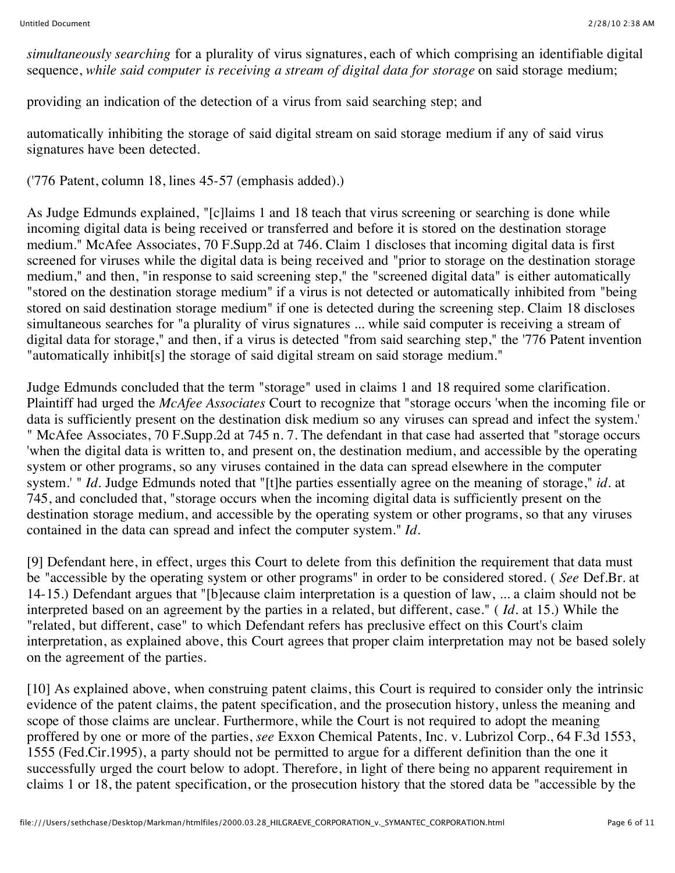*simultaneously searching* for a plurality of virus signatures, each of which comprising an identifiable digital sequence, *while said computer is receiving a stream of digital data for storage* on said storage medium;

providing an indication of the detection of a virus from said searching step; and

automatically inhibiting the storage of said digital stream on said storage medium if any of said virus signatures have been detected.

('776 Patent, column 18, lines 45-57 (emphasis added).)

As Judge Edmunds explained, "[c]laims 1 and 18 teach that virus screening or searching is done while incoming digital data is being received or transferred and before it is stored on the destination storage medium." McAfee Associates, 70 F.Supp.2d at 746. Claim 1 discloses that incoming digital data is first screened for viruses while the digital data is being received and "prior to storage on the destination storage medium," and then, "in response to said screening step," the "screened digital data" is either automatically "stored on the destination storage medium" if a virus is not detected or automatically inhibited from "being stored on said destination storage medium" if one is detected during the screening step. Claim 18 discloses simultaneous searches for "a plurality of virus signatures ... while said computer is receiving a stream of digital data for storage," and then, if a virus is detected "from said searching step," the '776 Patent invention "automatically inhibit[s] the storage of said digital stream on said storage medium."

Judge Edmunds concluded that the term "storage" used in claims 1 and 18 required some clarification. Plaintiff had urged the *McAfee Associates* Court to recognize that "storage occurs 'when the incoming file or data is sufficiently present on the destination disk medium so any viruses can spread and infect the system.' " McAfee Associates, 70 F.Supp.2d at 745 n. 7. The defendant in that case had asserted that "storage occurs 'when the digital data is written to, and present on, the destination medium, and accessible by the operating system or other programs, so any viruses contained in the data can spread elsewhere in the computer system.' " *Id.* Judge Edmunds noted that "[t]he parties essentially agree on the meaning of storage," *id.* at 745, and concluded that, "storage occurs when the incoming digital data is sufficiently present on the destination storage medium, and accessible by the operating system or other programs, so that any viruses contained in the data can spread and infect the computer system." *Id.*

[9] Defendant here, in effect, urges this Court to delete from this definition the requirement that data must be "accessible by the operating system or other programs" in order to be considered stored. ( *See* Def.Br. at 14-15.) Defendant argues that "[b]ecause claim interpretation is a question of law, ... a claim should not be interpreted based on an agreement by the parties in a related, but different, case." ( *Id.* at 15.) While the "related, but different, case" to which Defendant refers has preclusive effect on this Court's claim interpretation, as explained above, this Court agrees that proper claim interpretation may not be based solely on the agreement of the parties.

[10] As explained above, when construing patent claims, this Court is required to consider only the intrinsic evidence of the patent claims, the patent specification, and the prosecution history, unless the meaning and scope of those claims are unclear. Furthermore, while the Court is not required to adopt the meaning proffered by one or more of the parties, *see* Exxon Chemical Patents, Inc. v. Lubrizol Corp., 64 F.3d 1553, 1555 (Fed.Cir.1995), a party should not be permitted to argue for a different definition than the one it successfully urged the court below to adopt. Therefore, in light of there being no apparent requirement in claims 1 or 18, the patent specification, or the prosecution history that the stored data be "accessible by the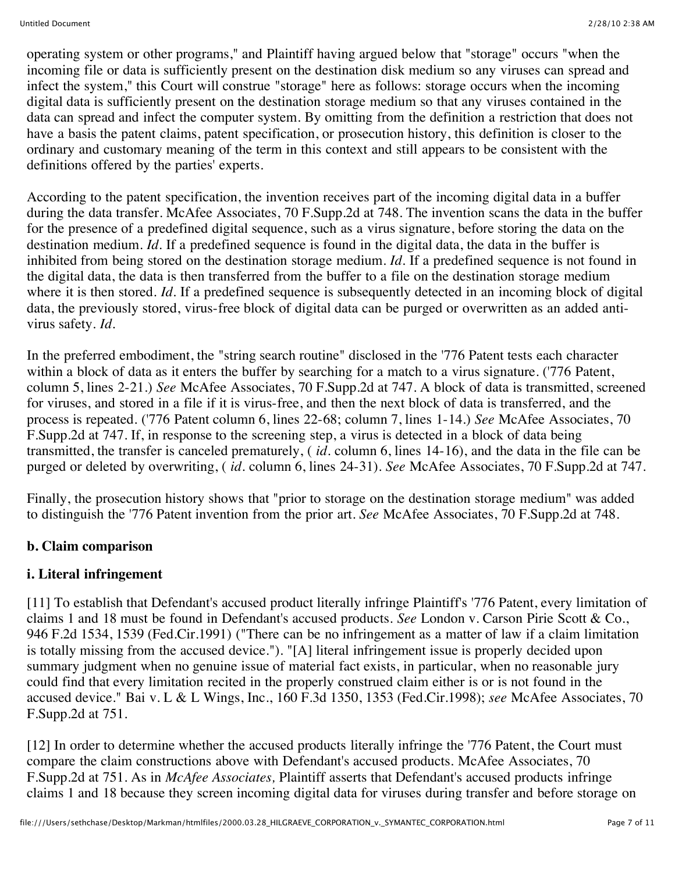operating system or other programs," and Plaintiff having argued below that "storage" occurs "when the incoming file or data is sufficiently present on the destination disk medium so any viruses can spread and infect the system," this Court will construe "storage" here as follows: storage occurs when the incoming digital data is sufficiently present on the destination storage medium so that any viruses contained in the data can spread and infect the computer system. By omitting from the definition a restriction that does not have a basis the patent claims, patent specification, or prosecution history, this definition is closer to the ordinary and customary meaning of the term in this context and still appears to be consistent with the definitions offered by the parties' experts.

According to the patent specification, the invention receives part of the incoming digital data in a buffer during the data transfer. McAfee Associates, 70 F.Supp.2d at 748. The invention scans the data in the buffer for the presence of a predefined digital sequence, such as a virus signature, before storing the data on the destination medium. *Id*. If a predefined sequence is found in the digital data, the data in the buffer is inhibited from being stored on the destination storage medium. *Id.* If a predefined sequence is not found in the digital data, the data is then transferred from the buffer to a file on the destination storage medium where it is then stored. *Id*. If a predefined sequence is subsequently detected in an incoming block of digital data, the previously stored, virus-free block of digital data can be purged or overwritten as an added antivirus safety. *Id.*

In the preferred embodiment, the "string search routine" disclosed in the '776 Patent tests each character within a block of data as it enters the buffer by searching for a match to a virus signature. ('776 Patent, column 5, lines 2-21.) *See* McAfee Associates, 70 F.Supp.2d at 747. A block of data is transmitted, screened for viruses, and stored in a file if it is virus-free, and then the next block of data is transferred, and the process is repeated. ('776 Patent column 6, lines 22-68; column 7, lines 1-14.) *See* McAfee Associates, 70 F.Supp.2d at 747. If, in response to the screening step, a virus is detected in a block of data being transmitted, the transfer is canceled prematurely, ( *id.* column 6, lines 14-16), and the data in the file can be purged or deleted by overwriting, ( *id.* column 6, lines 24-31). *See* McAfee Associates, 70 F.Supp.2d at 747.

Finally, the prosecution history shows that "prior to storage on the destination storage medium" was added to distinguish the '776 Patent invention from the prior art. *See* McAfee Associates, 70 F.Supp.2d at 748.

## **b. Claim comparison**

### **i. Literal infringement**

[11] To establish that Defendant's accused product literally infringe Plaintiff's '776 Patent, every limitation of claims 1 and 18 must be found in Defendant's accused products. *See* London v. Carson Pirie Scott & Co., 946 F.2d 1534, 1539 (Fed.Cir.1991) ("There can be no infringement as a matter of law if a claim limitation is totally missing from the accused device."). "[A] literal infringement issue is properly decided upon summary judgment when no genuine issue of material fact exists, in particular, when no reasonable jury could find that every limitation recited in the properly construed claim either is or is not found in the accused device." Bai v. L & L Wings, Inc., 160 F.3d 1350, 1353 (Fed.Cir.1998); *see* McAfee Associates, 70 F.Supp.2d at 751.

[12] In order to determine whether the accused products literally infringe the '776 Patent, the Court must compare the claim constructions above with Defendant's accused products. McAfee Associates, 70 F.Supp.2d at 751. As in *McAfee Associates,* Plaintiff asserts that Defendant's accused products infringe claims 1 and 18 because they screen incoming digital data for viruses during transfer and before storage on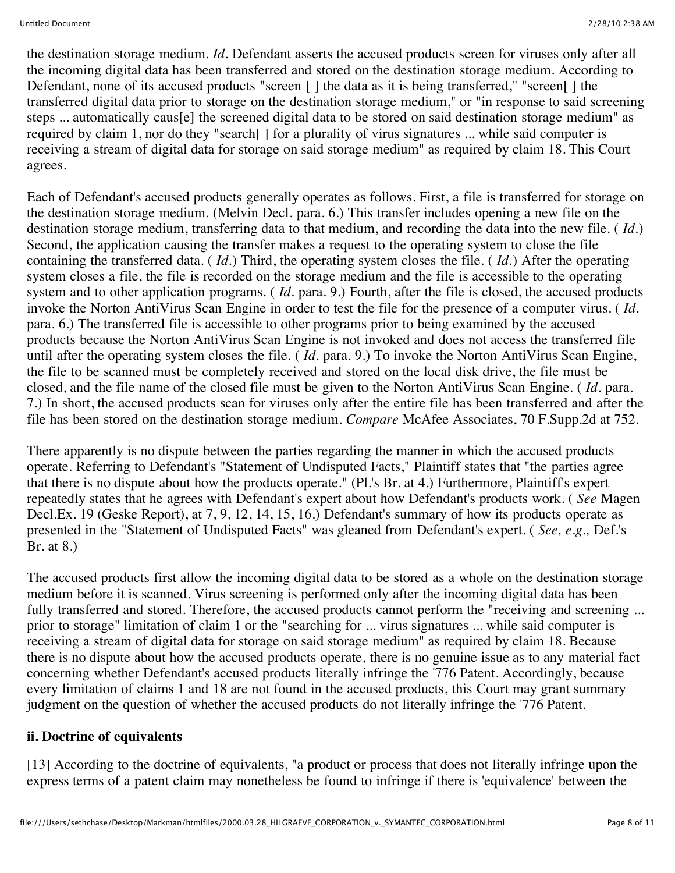the destination storage medium. *Id.* Defendant asserts the accused products screen for viruses only after all the incoming digital data has been transferred and stored on the destination storage medium. According to Defendant, none of its accused products "screen [ ] the data as it is being transferred," "screen[ ] the transferred digital data prior to storage on the destination storage medium," or "in response to said screening steps ... automatically caus[e] the screened digital data to be stored on said destination storage medium" as required by claim 1, nor do they "search[ ] for a plurality of virus signatures ... while said computer is receiving a stream of digital data for storage on said storage medium" as required by claim 18. This Court agrees.

Each of Defendant's accused products generally operates as follows. First, a file is transferred for storage on the destination storage medium. (Melvin Decl. para. 6.) This transfer includes opening a new file on the destination storage medium, transferring data to that medium, and recording the data into the new file. ( *Id.*) Second, the application causing the transfer makes a request to the operating system to close the file containing the transferred data. ( *Id.*) Third, the operating system closes the file. ( *Id.*) After the operating system closes a file, the file is recorded on the storage medium and the file is accessible to the operating system and to other application programs. ( *Id.* para. 9.) Fourth, after the file is closed, the accused products invoke the Norton AntiVirus Scan Engine in order to test the file for the presence of a computer virus. ( *Id.* para. 6.) The transferred file is accessible to other programs prior to being examined by the accused products because the Norton AntiVirus Scan Engine is not invoked and does not access the transferred file until after the operating system closes the file. ( *Id.* para. 9.) To invoke the Norton AntiVirus Scan Engine, the file to be scanned must be completely received and stored on the local disk drive, the file must be closed, and the file name of the closed file must be given to the Norton AntiVirus Scan Engine. ( *Id.* para. 7.) In short, the accused products scan for viruses only after the entire file has been transferred and after the file has been stored on the destination storage medium. *Compare* McAfee Associates, 70 F.Supp.2d at 752.

There apparently is no dispute between the parties regarding the manner in which the accused products operate. Referring to Defendant's "Statement of Undisputed Facts," Plaintiff states that "the parties agree that there is no dispute about how the products operate." (Pl.'s Br. at 4.) Furthermore, Plaintiff's expert repeatedly states that he agrees with Defendant's expert about how Defendant's products work. ( *See* Magen Decl.Ex. 19 (Geske Report), at 7, 9, 12, 14, 15, 16.) Defendant's summary of how its products operate as presented in the "Statement of Undisputed Facts" was gleaned from Defendant's expert. ( *See, e.g.,* Def.'s Br. at 8.)

The accused products first allow the incoming digital data to be stored as a whole on the destination storage medium before it is scanned. Virus screening is performed only after the incoming digital data has been fully transferred and stored. Therefore, the accused products cannot perform the "receiving and screening ... prior to storage" limitation of claim 1 or the "searching for ... virus signatures ... while said computer is receiving a stream of digital data for storage on said storage medium" as required by claim 18. Because there is no dispute about how the accused products operate, there is no genuine issue as to any material fact concerning whether Defendant's accused products literally infringe the '776 Patent. Accordingly, because every limitation of claims 1 and 18 are not found in the accused products, this Court may grant summary judgment on the question of whether the accused products do not literally infringe the '776 Patent.

### **ii. Doctrine of equivalents**

[13] According to the doctrine of equivalents, "a product or process that does not literally infringe upon the express terms of a patent claim may nonetheless be found to infringe if there is 'equivalence' between the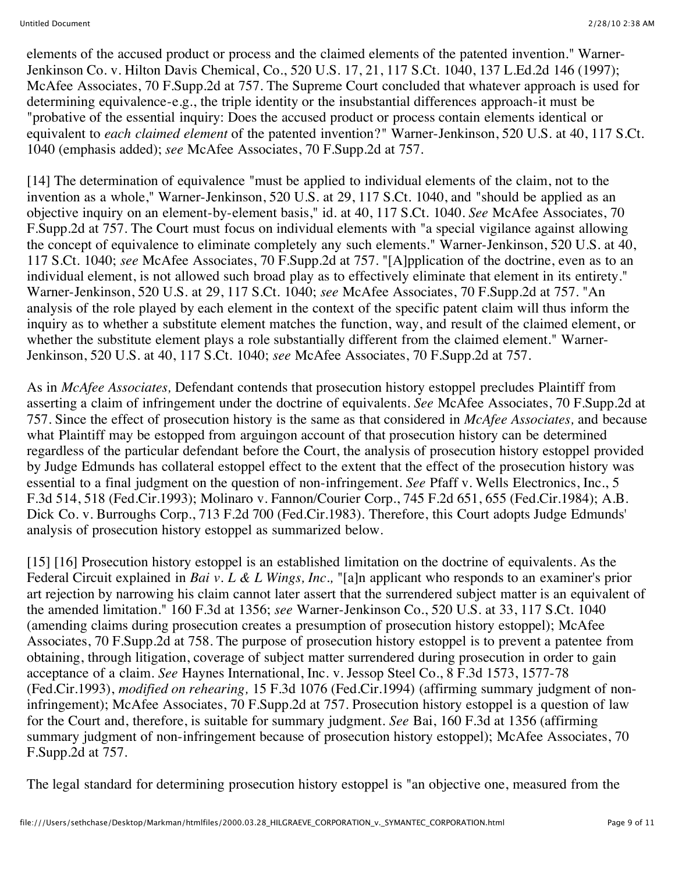elements of the accused product or process and the claimed elements of the patented invention." Warner-Jenkinson Co. v. Hilton Davis Chemical, Co., 520 U.S. 17, 21, 117 S.Ct. 1040, 137 L.Ed.2d 146 (1997); McAfee Associates, 70 F.Supp.2d at 757. The Supreme Court concluded that whatever approach is used for determining equivalence-e.g., the triple identity or the insubstantial differences approach-it must be "probative of the essential inquiry: Does the accused product or process contain elements identical or equivalent to *each claimed element* of the patented invention?" Warner-Jenkinson, 520 U.S. at 40, 117 S.Ct. 1040 (emphasis added); *see* McAfee Associates, 70 F.Supp.2d at 757.

[14] The determination of equivalence "must be applied to individual elements of the claim, not to the invention as a whole," Warner-Jenkinson, 520 U.S. at 29, 117 S.Ct. 1040, and "should be applied as an objective inquiry on an element-by-element basis," id. at 40, 117 S.Ct. 1040. *See* McAfee Associates, 70 F.Supp.2d at 757. The Court must focus on individual elements with "a special vigilance against allowing the concept of equivalence to eliminate completely any such elements." Warner-Jenkinson, 520 U.S. at 40, 117 S.Ct. 1040; *see* McAfee Associates, 70 F.Supp.2d at 757. "[A]pplication of the doctrine, even as to an individual element, is not allowed such broad play as to effectively eliminate that element in its entirety." Warner-Jenkinson, 520 U.S. at 29, 117 S.Ct. 1040; *see* McAfee Associates, 70 F.Supp.2d at 757. "An analysis of the role played by each element in the context of the specific patent claim will thus inform the inquiry as to whether a substitute element matches the function, way, and result of the claimed element, or whether the substitute element plays a role substantially different from the claimed element." Warner-Jenkinson, 520 U.S. at 40, 117 S.Ct. 1040; *see* McAfee Associates, 70 F.Supp.2d at 757.

As in *McAfee Associates,* Defendant contends that prosecution history estoppel precludes Plaintiff from asserting a claim of infringement under the doctrine of equivalents. *See* McAfee Associates, 70 F.Supp.2d at 757. Since the effect of prosecution history is the same as that considered in *McAfee Associates,* and because what Plaintiff may be estopped from arguingon account of that prosecution history can be determined regardless of the particular defendant before the Court, the analysis of prosecution history estoppel provided by Judge Edmunds has collateral estoppel effect to the extent that the effect of the prosecution history was essential to a final judgment on the question of non-infringement. *See* Pfaff v. Wells Electronics, Inc., 5 F.3d 514, 518 (Fed.Cir.1993); Molinaro v. Fannon/Courier Corp., 745 F.2d 651, 655 (Fed.Cir.1984); A.B. Dick Co. v. Burroughs Corp., 713 F.2d 700 (Fed.Cir.1983). Therefore, this Court adopts Judge Edmunds' analysis of prosecution history estoppel as summarized below.

[15] [16] Prosecution history estoppel is an established limitation on the doctrine of equivalents. As the Federal Circuit explained in *Bai v. L & L Wings, Inc.,* "[a]n applicant who responds to an examiner's prior art rejection by narrowing his claim cannot later assert that the surrendered subject matter is an equivalent of the amended limitation." 160 F.3d at 1356; *see* Warner-Jenkinson Co., 520 U.S. at 33, 117 S.Ct. 1040 (amending claims during prosecution creates a presumption of prosecution history estoppel); McAfee Associates, 70 F.Supp.2d at 758. The purpose of prosecution history estoppel is to prevent a patentee from obtaining, through litigation, coverage of subject matter surrendered during prosecution in order to gain acceptance of a claim. *See* Haynes International, Inc. v. Jessop Steel Co., 8 F.3d 1573, 1577-78 (Fed.Cir.1993), *modified on rehearing,* 15 F.3d 1076 (Fed.Cir.1994) (affirming summary judgment of noninfringement); McAfee Associates, 70 F.Supp.2d at 757. Prosecution history estoppel is a question of law for the Court and, therefore, is suitable for summary judgment. *See* Bai, 160 F.3d at 1356 (affirming summary judgment of non-infringement because of prosecution history estoppel); McAfee Associates, 70 F.Supp.2d at 757.

The legal standard for determining prosecution history estoppel is "an objective one, measured from the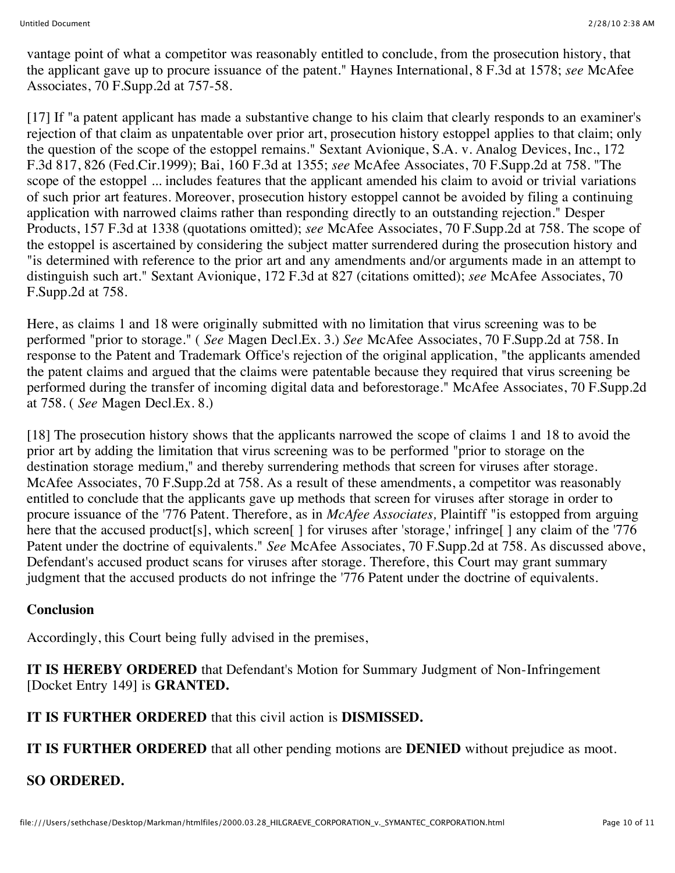vantage point of what a competitor was reasonably entitled to conclude, from the prosecution history, that the applicant gave up to procure issuance of the patent." Haynes International, 8 F.3d at 1578; *see* McAfee Associates, 70 F.Supp.2d at 757-58.

[17] If "a patent applicant has made a substantive change to his claim that clearly responds to an examiner's rejection of that claim as unpatentable over prior art, prosecution history estoppel applies to that claim; only the question of the scope of the estoppel remains." Sextant Avionique, S.A. v. Analog Devices, Inc., 172 F.3d 817, 826 (Fed.Cir.1999); Bai, 160 F.3d at 1355; *see* McAfee Associates, 70 F.Supp.2d at 758. "The scope of the estoppel ... includes features that the applicant amended his claim to avoid or trivial variations of such prior art features. Moreover, prosecution history estoppel cannot be avoided by filing a continuing application with narrowed claims rather than responding directly to an outstanding rejection." Desper Products, 157 F.3d at 1338 (quotations omitted); *see* McAfee Associates, 70 F.Supp.2d at 758. The scope of the estoppel is ascertained by considering the subject matter surrendered during the prosecution history and "is determined with reference to the prior art and any amendments and/or arguments made in an attempt to distinguish such art." Sextant Avionique, 172 F.3d at 827 (citations omitted); *see* McAfee Associates, 70 F.Supp.2d at 758.

Here, as claims 1 and 18 were originally submitted with no limitation that virus screening was to be performed "prior to storage." ( *See* Magen Decl.Ex. 3.) *See* McAfee Associates, 70 F.Supp.2d at 758. In response to the Patent and Trademark Office's rejection of the original application, "the applicants amended the patent claims and argued that the claims were patentable because they required that virus screening be performed during the transfer of incoming digital data and beforestorage." McAfee Associates, 70 F.Supp.2d at 758. ( *See* Magen Decl.Ex. 8.)

[18] The prosecution history shows that the applicants narrowed the scope of claims 1 and 18 to avoid the prior art by adding the limitation that virus screening was to be performed "prior to storage on the destination storage medium," and thereby surrendering methods that screen for viruses after storage. McAfee Associates, 70 F.Supp.2d at 758. As a result of these amendments, a competitor was reasonably entitled to conclude that the applicants gave up methods that screen for viruses after storage in order to procure issuance of the '776 Patent. Therefore, as in *McAfee Associates,* Plaintiff "is estopped from arguing here that the accused product[s], which screen[] for viruses after 'storage,' infringe[] any claim of the '776 Patent under the doctrine of equivalents." *See* McAfee Associates, 70 F.Supp.2d at 758. As discussed above, Defendant's accused product scans for viruses after storage. Therefore, this Court may grant summary judgment that the accused products do not infringe the '776 Patent under the doctrine of equivalents.

### **Conclusion**

Accordingly, this Court being fully advised in the premises,

**IT IS HEREBY ORDERED** that Defendant's Motion for Summary Judgment of Non-Infringement [Docket Entry 149] is **GRANTED.**

**IT IS FURTHER ORDERED** that this civil action is **DISMISSED.**

**IT IS FURTHER ORDERED** that all other pending motions are **DENIED** without prejudice as moot.

# **SO ORDERED.**